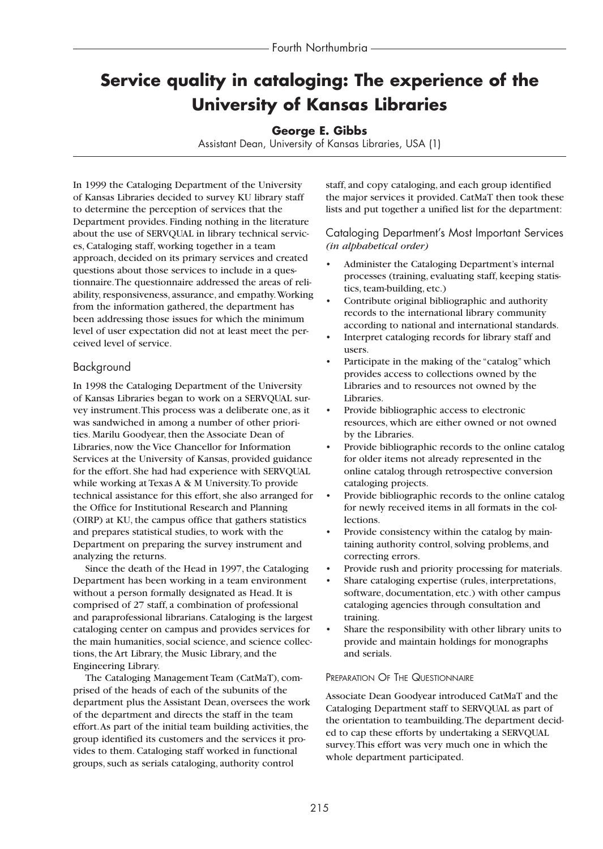# **Service quality in cataloging: The experience of the University of Kansas Libraries**

#### **George E. Gibbs**

Assistant Dean, University of Kansas Libraries, USA (1)

In 1999 the Cataloging Department of the University of Kansas Libraries decided to survey KU library staff to determine the perception of services that the Department provides. Finding nothing in the literature about the use of SERVQUAL in library technical services, Cataloging staff, working together in a team approach, decided on its primary services and created questions about those services to include in a questionnaire.The questionnaire addressed the areas of reliability, responsiveness, assurance, and empathy.Working from the information gathered, the department has been addressing those issues for which the minimum level of user expectation did not at least meet the perceived level of service.

#### Background

In 1998 the Cataloging Department of the University of Kansas Libraries began to work on a SERVQUAL survey instrument.This process was a deliberate one, as it was sandwiched in among a number of other priorities. Marilu Goodyear, then the Associate Dean of Libraries, now the Vice Chancellor for Information Services at the University of Kansas, provided guidance for the effort. She had had experience with SERVQUAL while working at Texas A & M University.To provide technical assistance for this effort, she also arranged for the Office for Institutional Research and Planning (OIRP) at KU, the campus office that gathers statistics and prepares statistical studies, to work with the Department on preparing the survey instrument and analyzing the returns.

Since the death of the Head in 1997, the Cataloging Department has been working in a team environment without a person formally designated as Head. It is comprised of 27 staff, a combination of professional and paraprofessional librarians. Cataloging is the largest cataloging center on campus and provides services for the main humanities, social science, and science collections, the Art Library, the Music Library, and the Engineering Library.

The Cataloging Management Team (CatMaT), comprised of the heads of each of the subunits of the department plus the Assistant Dean, oversees the work of the department and directs the staff in the team effort.As part of the initial team building activities, the group identified its customers and the services it provides to them. Cataloging staff worked in functional groups, such as serials cataloging, authority control

staff, and copy cataloging, and each group identified the major services it provided. CatMaT then took these lists and put together a unified list for the department:

#### Cataloging Department's Most Important Services *(in alphabetical order)*

- Administer the Cataloging Department's internal processes (training, evaluating staff, keeping statistics, team-building, etc.)
- Contribute original bibliographic and authority records to the international library community according to national and international standards.
- Interpret cataloging records for library staff and users.
- Participate in the making of the "catalog" which provides access to collections owned by the Libraries and to resources not owned by the Libraries.
- Provide bibliographic access to electronic resources, which are either owned or not owned by the Libraries.
- Provide bibliographic records to the online catalog for older items not already represented in the online catalog through retrospective conversion cataloging projects.
- Provide bibliographic records to the online catalog for newly received items in all formats in the collections.
- Provide consistency within the catalog by maintaining authority control, solving problems, and correcting errors.
- Provide rush and priority processing for materials.
- Share cataloging expertise (rules, interpretations, software, documentation, etc.) with other campus cataloging agencies through consultation and training.
- Share the responsibility with other library units to provide and maintain holdings for monographs and serials.

#### PREPARATION OF THE QUESTIONNAIRE

Associate Dean Goodyear introduced CatMaT and the Cataloging Department staff to SERVQUAL as part of the orientation to teambuilding.The department decided to cap these efforts by undertaking a SERVQUAL survey.This effort was very much one in which the whole department participated.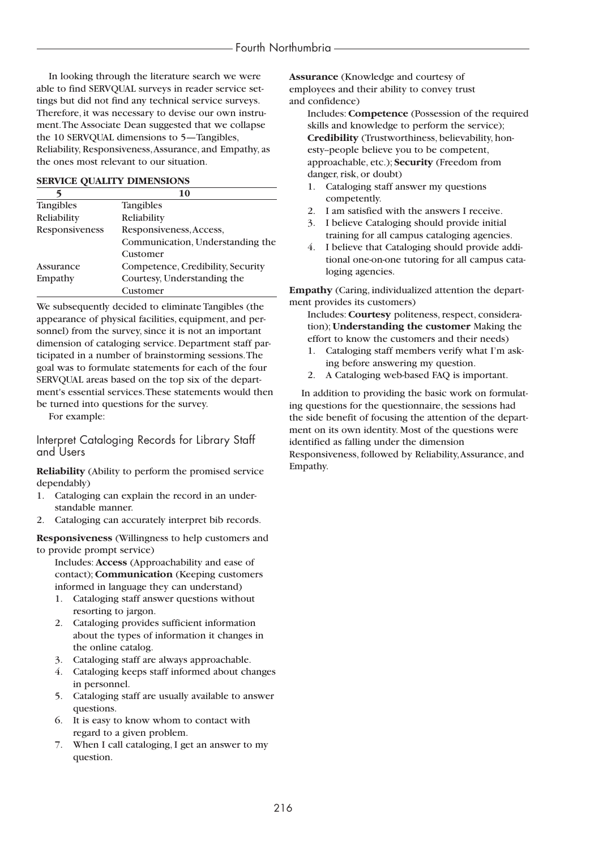In looking through the literature search we were able to find SERVQUAL surveys in reader service settings but did not find any technical service surveys. Therefore, it was necessary to devise our own instrument.The Associate Dean suggested that we collapse the 10 SERVQUAL dimensions to 5—Tangibles, Reliability, Responsiveness,Assurance, and Empathy, as the ones most relevant to our situation.

#### **SERVICE QUALITY DIMENSIONS**

|                  | 10                                |  |
|------------------|-----------------------------------|--|
| <b>Tangibles</b> | <b>Tangibles</b>                  |  |
| Reliability      | Reliability                       |  |
| Responsiveness   | Responsiveness, Access,           |  |
|                  | Communication, Understanding the  |  |
|                  | Customer                          |  |
| Assurance        | Competence, Credibility, Security |  |
| Empathy          | Courtesy, Understanding the       |  |
|                  | Customer                          |  |

We subsequently decided to eliminate Tangibles (the appearance of physical facilities, equipment, and personnel) from the survey, since it is not an important dimension of cataloging service. Department staff participated in a number of brainstorming sessions.The goal was to formulate statements for each of the four SERVQUAL areas based on the top six of the department's essential services.These statements would then be turned into questions for the survey.

For example:

Interpret Cataloging Records for Library Staff and Users

**Reliability** (Ability to perform the promised service dependably)

- 1. Cataloging can explain the record in an understandable manner.
- 2. Cataloging can accurately interpret bib records.

**Responsiveness** (Willingness to help customers and to provide prompt service)

Includes: **Access** (Approachability and ease of contact); **Communication** (Keeping customers informed in language they can understand)

- 1. Cataloging staff answer questions without resorting to jargon.
- 2. Cataloging provides sufficient information about the types of information it changes in the online catalog.
- 3. Cataloging staff are always approachable.
- 4. Cataloging keeps staff informed about changes in personnel.
- 5. Cataloging staff are usually available to answer questions.
- 6. It is easy to know whom to contact with regard to a given problem.
- 7. When I call cataloging, I get an answer to my question.

**Assurance** (Knowledge and courtesy of employees and their ability to convey trust and confidence)

Includes: **Competence** (Possession of the required skills and knowledge to perform the service); **Credibility** (Trustworthiness, believability, honesty--people believe you to be competent, approachable, etc.); **Security** (Freedom from danger, risk, or doubt)

- 1. Cataloging staff answer my questions competently.
- 2. I am satisfied with the answers I receive.
- 3. I believe Cataloging should provide initial training for all campus cataloging agencies.
- 4. I believe that Cataloging should provide additional one-on-one tutoring for all campus cataloging agencies.

**Empathy** (Caring, individualized attention the department provides its customers)

Includes: **Courtesy** politeness, respect, consideration); **Understanding the customer** Making the effort to know the customers and their needs)

- 1. Cataloging staff members verify what I'm asking before answering my question.
- 2. A Cataloging web-based FAQ is important.

In addition to providing the basic work on formulating questions for the questionnaire, the sessions had the side benefit of focusing the attention of the department on its own identity. Most of the questions were identified as falling under the dimension Responsiveness, followed by Reliability,Assurance, and Empathy.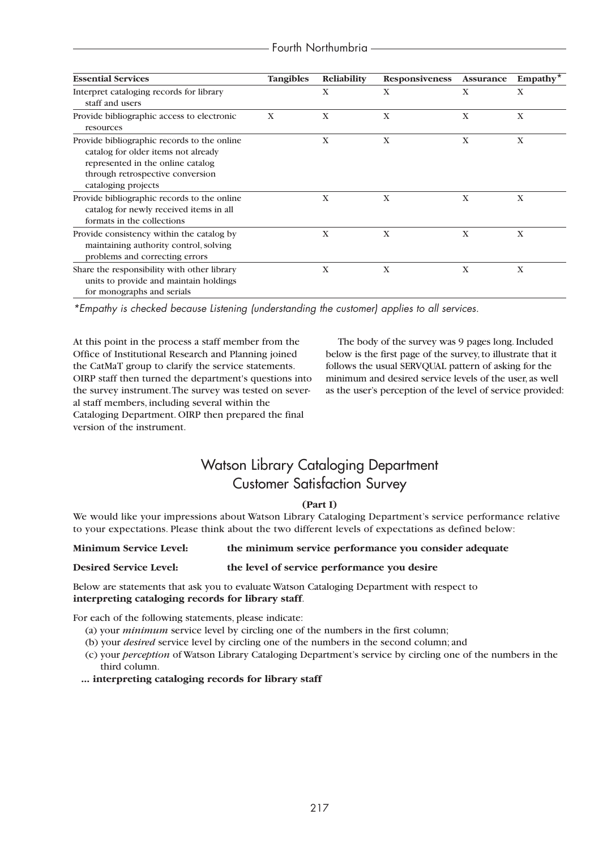| <b>Essential Services</b>                                                                                                                                                          | <b>Tangibles</b> | Reliability  | <b>Responsiveness</b> | <b>Assurance</b> | Empathy $\overline{ }$ |
|------------------------------------------------------------------------------------------------------------------------------------------------------------------------------------|------------------|--------------|-----------------------|------------------|------------------------|
| Interpret cataloging records for library<br>staff and users                                                                                                                        |                  | X            | X                     | X                | X                      |
| Provide bibliographic access to electronic<br>resources                                                                                                                            | X                | X            | X                     | X                | X                      |
| Provide bibliographic records to the online<br>catalog for older items not already<br>represented in the online catalog<br>through retrospective conversion<br>cataloging projects |                  | X            | X                     | X                | X                      |
| Provide bibliographic records to the online<br>catalog for newly received items in all<br>formats in the collections                                                               |                  | $\mathbf{X}$ | $\mathbf{X}$          | $\mathbf{X}$     | $\mathbf{X}$           |
| Provide consistency within the catalog by<br>maintaining authority control, solving<br>problems and correcting errors                                                              |                  | X            | X                     | X                | X                      |
| Share the responsibility with other library<br>units to provide and maintain holdings<br>for monographs and serials                                                                |                  | X            | X                     | X                | X                      |

*\*Empathy is checked because Listening (understanding the customer) applies to all services.*

At this point in the process a staff member from the Office of Institutional Research and Planning joined the CatMaT group to clarify the service statements. OIRP staff then turned the department's questions into the survey instrument.The survey was tested on several staff members, including several within the Cataloging Department. OIRP then prepared the final version of the instrument.

The body of the survey was 9 pages long. Included below is the first page of the survey, to illustrate that it follows the usual SERVQUAL pattern of asking for the minimum and desired service levels of the user, as well as the user's perception of the level of service provided:

### Watson Library Cataloging Department Customer Satisfaction Survey

#### **(Part I)**

We would like your impressions about Watson Library Cataloging Department's service performance relative to your expectations. Please think about the two different levels of expectations as defined below:

**Minimum Service Level: the minimum service performance you consider adequate**

#### **Desired Service Level: the level of service performance you desire**

Below are statements that ask you to evaluate Watson Cataloging Department with respect to **interpreting cataloging records for library staff**.

For each of the following statements, please indicate:

- (a) your *minimum* service level by circling one of the numbers in the first column;
- (b) your *desired* service level by circling one of the numbers in the second column; and
- (c) your *perception* of Watson Library Cataloging Department's service by circling one of the numbers in the third column.
- **... interpreting cataloging records for library staff**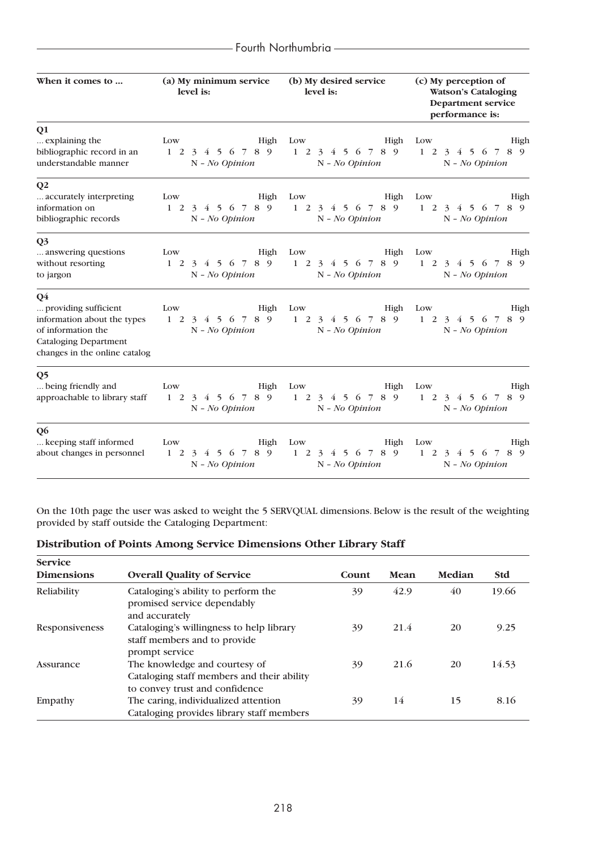| When it comes to                                                                                                  | (a) My minimum service<br>level is:                                                        | (b) My desired service<br>level is:                  | (c) My perception of<br><b>Watson's Cataloging</b><br><b>Department service</b><br>performance is: |  |
|-------------------------------------------------------------------------------------------------------------------|--------------------------------------------------------------------------------------------|------------------------------------------------------|----------------------------------------------------------------------------------------------------|--|
| Q1<br>explaining the<br>bibliographic record in an<br>understandable manner                                       | Low<br>High<br>1 2 3 4 5 6 7 8 9<br>$N - No$ Opinion                                       | High<br>Low<br>1 2 3 4 5 6 7 8 9<br>$N - No$ Opinion | Low<br>High<br>1 2 3 4 5 6 7 8 9<br>$N - No$ Opinion                                               |  |
| Q <sub>2</sub><br>accurately interpreting<br>information on<br>bibliographic records                              | Low<br>High<br>1 2 3 4 5 6 7 8 9<br>$N - No$ Opinion                                       | Low<br>High<br>1 2 3 4 5 6 7 8 9<br>$N - No$ Opinion | Low<br>High<br>1 2 3 4 5 6 7 8 9<br>$N - No$ Opinion                                               |  |
| Q <sub>3</sub><br>answering questions<br>without resorting<br>to jargon                                           | Low<br>High<br>1 2 3 4 5 6 7 8 9<br>$N - No$ Opinion                                       | Low<br>High<br>1 2 3 4 5 6 7 8 9<br>$N - No$ Opinion | Low<br>High<br>1 2 3 4 5 6 7 8 9<br>$N - No$ Opinion                                               |  |
| Q4<br>providing sufficient<br>of information the<br><b>Cataloging Department</b><br>changes in the online catalog | Low<br>High<br>information about the types $1\ 2\ 3\ 4\ 5\ 6\ 7\ 8\ 9$<br>$N - No$ Opinion | Low<br>High<br>1 2 3 4 5 6 7 8 9<br>$N - No$ Opinion | Low<br>High<br>1 2 3 4 5 6 7 8 9<br>$N - No$ Opinion                                               |  |
| Q <sub>5</sub><br>being friendly and<br>approachable to library staff                                             | Low<br>High<br>1 2 3 4 5 6 7 8 9<br>$N - No$ Opinion                                       | High<br>Low<br>1 2 3 4 5 6 7 8 9<br>$N - No$ Opinion | Low<br>High<br>$1 \t2 \t3$<br>4 5 6 7 8 9<br>$N - No$ Opinion                                      |  |
| Q <sub>6</sub><br>keeping staff informed<br>about changes in personnel                                            | Low<br>High<br>4 5 6 7 8 9<br>$1\quad 2$<br>$\overline{3}$<br>$N - No$ Opinion             | High<br>Low<br>1 2 3 4 5 6 7 8 9<br>$N - No$ Opinion | Low<br>High<br>1 2 3 4 5 6 7 8 9<br>$N - No$ Opinion                                               |  |

On the 10th page the user was asked to weight the 5 SERVQUAL dimensions. Below is the result of the weighting provided by staff outside the Cataloging Department:

#### **Distribution of Points Among Service Dimensions Other Library Staff**

| <b>Service</b><br><b>Dimensions</b> | <b>Overall Quality of Service</b>                                                                             | Count | Mean | Median | <b>Std</b> |
|-------------------------------------|---------------------------------------------------------------------------------------------------------------|-------|------|--------|------------|
| Reliability                         | Cataloging's ability to perform the<br>promised service dependably<br>and accurately                          | 39    | 42.9 | 40     | 19.66      |
| <b>Responsiveness</b>               | Cataloging's willingness to help library<br>staff members and to provide<br>prompt service                    | 39    | 21.4 | 20     | 9.25       |
| Assurance                           | The knowledge and courtesy of<br>Cataloging staff members and their ability<br>to convey trust and confidence | 39    | 21.6 | 20     | 14.53      |
| Empathy                             | The caring, individualized attention<br>Cataloging provides library staff members                             | 39    | 14   | 15     | 8.16       |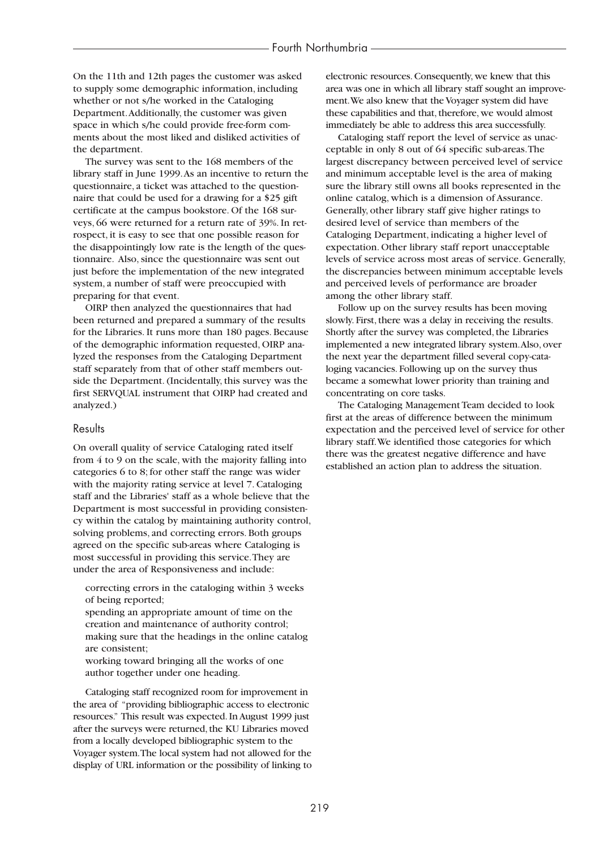On the 11th and 12th pages the customer was asked to supply some demographic information, including whether or not s/he worked in the Cataloging Department.Additionally, the customer was given space in which s/he could provide free-form comments about the most liked and disliked activities of the department.

The survey was sent to the 168 members of the library staff in June 1999.As an incentive to return the questionnaire, a ticket was attached to the questionnaire that could be used for a drawing for a \$25 gift certificate at the campus bookstore. Of the 168 surveys, 66 were returned for a return rate of 39%. In retrospect, it is easy to see that one possible reason for the disappointingly low rate is the length of the questionnaire. Also, since the questionnaire was sent out just before the implementation of the new integrated system, a number of staff were preoccupied with preparing for that event.

OIRP then analyzed the questionnaires that had been returned and prepared a summary of the results for the Libraries. It runs more than 180 pages. Because of the demographic information requested, OIRP analyzed the responses from the Cataloging Department staff separately from that of other staff members outside the Department. (Incidentally, this survey was the first SERVQUAL instrument that OIRP had created and analyzed.)

#### **Results**

On overall quality of service Cataloging rated itself from 4 to 9 on the scale, with the majority falling into categories 6 to 8; for other staff the range was wider with the majority rating service at level 7. Cataloging staff and the Libraries' staff as a whole believe that the Department is most successful in providing consistency within the catalog by maintaining authority control, solving problems, and correcting errors. Both groups agreed on the specific sub-areas where Cataloging is most successful in providing this service.They are under the area of Responsiveness and include:

correcting errors in the cataloging within 3 weeks of being reported;

spending an appropriate amount of time on the creation and maintenance of authority control; making sure that the headings in the online catalog are consistent;

working toward bringing all the works of one author together under one heading.

Cataloging staff recognized room for improvement in the area of "providing bibliographic access to electronic resources." This result was expected. In August 1999 just after the surveys were returned, the KU Libraries moved from a locally developed bibliographic system to the Voyager system.The local system had not allowed for the display of URL information or the possibility of linking to

electronic resources. Consequently, we knew that this area was one in which all library staff sought an improvement.We also knew that the Voyager system did have these capabilities and that, therefore, we would almost immediately be able to address this area successfully.

Cataloging staff report the level of service as unacceptable in only 8 out of 64 specific sub-areas.The largest discrepancy between perceived level of service and minimum acceptable level is the area of making sure the library still owns all books represented in the online catalog, which is a dimension of Assurance. Generally, other library staff give higher ratings to desired level of service than members of the Cataloging Department, indicating a higher level of expectation. Other library staff report unacceptable levels of service across most areas of service. Generally, the discrepancies between minimum acceptable levels and perceived levels of performance are broader among the other library staff.

Follow up on the survey results has been moving slowly. First, there was a delay in receiving the results. Shortly after the survey was completed, the Libraries implemented a new integrated library system.Also, over the next year the department filled several copy-cataloging vacancies. Following up on the survey thus became a somewhat lower priority than training and concentrating on core tasks.

The Cataloging Management Team decided to look first at the areas of difference between the minimum expectation and the perceived level of service for other library staff.We identified those categories for which there was the greatest negative difference and have established an action plan to address the situation.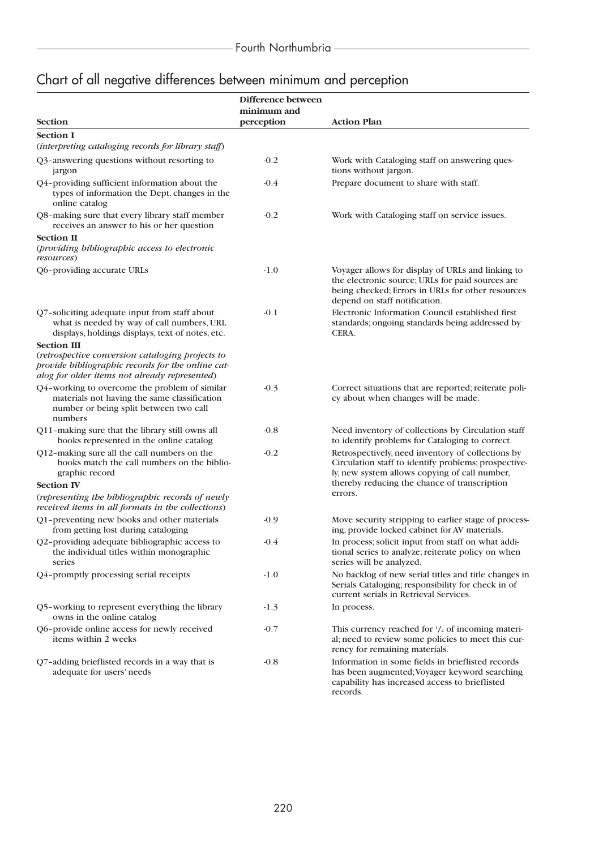## Chart of all negative differences between minimum and perception

|                                                                                                                                                                              | Difference between<br>minimum and |                                                                                                                                                                                             |
|------------------------------------------------------------------------------------------------------------------------------------------------------------------------------|-----------------------------------|---------------------------------------------------------------------------------------------------------------------------------------------------------------------------------------------|
| Section                                                                                                                                                                      | perception                        | <b>Action Plan</b>                                                                                                                                                                          |
| <b>Section I</b>                                                                                                                                                             |                                   |                                                                                                                                                                                             |
| (interpreting cataloging records for library staff)                                                                                                                          |                                   |                                                                                                                                                                                             |
| Q3-answering questions without resorting to<br>jargon                                                                                                                        | $-0.2$                            | Work with Cataloging staff on answering ques-<br>tions without jargon.                                                                                                                      |
| Q4-providing sufficient information about the<br>types of information the Dept. changes in the<br>online catalog                                                             | $-0.4$                            | Prepare document to share with staff.                                                                                                                                                       |
| Q8-making sure that every library staff member<br>receives an answer to his or her question                                                                                  | $-0.2$                            | Work with Cataloging staff on service issues.                                                                                                                                               |
| <b>Section II</b><br>(providing bibliographic access to electronic<br><i>resources</i> )                                                                                     |                                   |                                                                                                                                                                                             |
| Q6-providing accurate URLs                                                                                                                                                   | $-1.0$                            | Voyager allows for display of URLs and linking to<br>the electronic source; URLs for paid sources are<br>being checked; Errors in URLs for other resources<br>depend on staff notification. |
| Q7-soliciting adequate input from staff about<br>what is needed by way of call numbers, URL<br>displays, holdings displays, text of notes, etc.                              | $-0.1$                            | Electronic Information Council established first<br>standards; ongoing standards being addressed by<br>CERA.                                                                                |
| <b>Section III</b><br>(retrospective conversion cataloging projects to<br>provide bibliographic records for the online cat-<br>alog for older items not already represented) |                                   |                                                                                                                                                                                             |
| Q4-working to overcome the problem of similar<br>materials not having the same classification<br>number or being split between two call<br>numbers                           | $-0.3$                            | Correct situations that are reported; reiterate poli-<br>cy about when changes will be made.                                                                                                |
| Q11-making sure that the library still owns all<br>books represented in the online catalog                                                                                   | $-0.8$                            | Need inventory of collections by Circulation staff<br>to identify problems for Cataloging to correct.                                                                                       |
| Q12-making sure all the call numbers on the<br>books match the call numbers on the biblio-<br>graphic record                                                                 | $-0.2$                            | Retrospectively, need inventory of collections by<br>Circulation staff to identify problems; prospective-<br>ly, new system allows copying of call number,                                  |
| <b>Section IV</b>                                                                                                                                                            |                                   | thereby reducing the chance of transcription                                                                                                                                                |
| (representing the bibliographic records of newly<br>received items in all formats in the collections)                                                                        |                                   | errors.                                                                                                                                                                                     |
| Q1-preventing new books and other materials<br>from getting lost during cataloging                                                                                           | $-0.9$                            | Move security stripping to earlier stage of process-<br>ing; provide locked cabinet for AV materials.                                                                                       |
| Q2-providing adequate bibliographic access to<br>the individual titles within monographic<br>series                                                                          | $-0.4$                            | In process; solicit input from staff on what addi-<br>tional series to analyze; reiterate policy on when<br>series will be analyzed.                                                        |
| Q4-promptly processing serial receipts                                                                                                                                       | $-1.0$                            | No backlog of new serial titles and title changes in<br>Serials Cataloging; responsibility for check in of<br>current serials in Retrieval Services.                                        |
| Q5-working to represent everything the library<br>owns in the online catalog                                                                                                 | $-1.3$                            | In process.                                                                                                                                                                                 |
| Q6-provide online access for newly received<br>items within 2 weeks                                                                                                          | $-0.7$                            | This currency reached for $\frac{1}{2}$ of incoming materi-<br>al; need to review some policies to meet this cur-<br>rency for remaining materials.                                         |
| Q7-adding brieflisted records in a way that is<br>adequate for users' needs                                                                                                  | $-0.8$                            | Information in some fields in brieflisted records<br>has been augmented; Voyager keyword searching<br>capability has increased access to brieflisted<br>records.                            |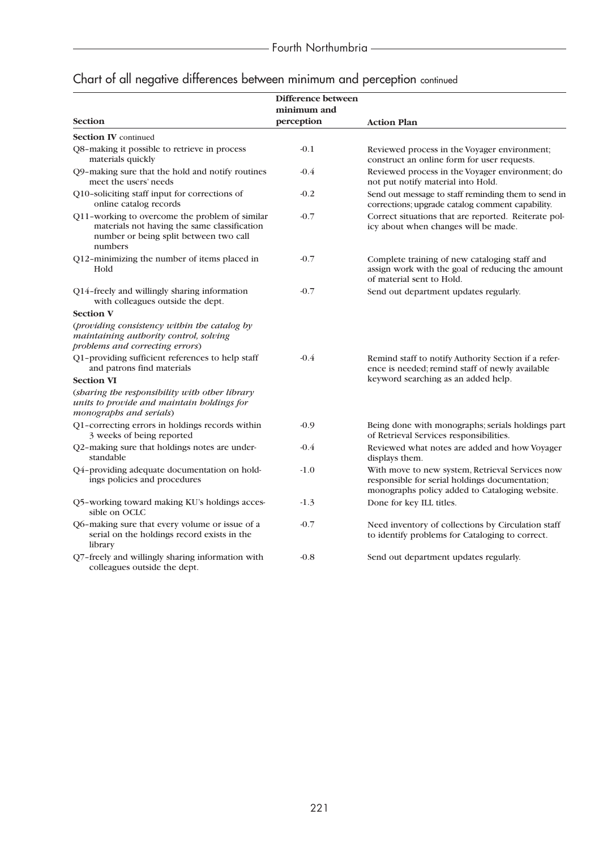## Chart of all negative differences between minimum and perception continued

|                                                                                                                                                     | Difference between<br>minimum and |                                                                                                                                                     |
|-----------------------------------------------------------------------------------------------------------------------------------------------------|-----------------------------------|-----------------------------------------------------------------------------------------------------------------------------------------------------|
| Section                                                                                                                                             | perception                        | <b>Action Plan</b>                                                                                                                                  |
| <b>Section IV</b> continued                                                                                                                         |                                   |                                                                                                                                                     |
| Q8-making it possible to retrieve in process<br>materials quickly                                                                                   | $-0.1$                            | Reviewed process in the Voyager environment;<br>construct an online form for user requests.                                                         |
| Q9-making sure that the hold and notify routines<br>meet the users' needs                                                                           | $-0.4$                            | Reviewed process in the Voyager environment; do<br>not put notify material into Hold.                                                               |
| Q10-soliciting staff input for corrections of<br>online catalog records                                                                             | $-0.2$                            | Send out message to staff reminding them to send in<br>corrections; upgrade catalog comment capability.                                             |
| Q11-working to overcome the problem of similar<br>materials not having the same classification<br>number or being split between two call<br>numbers | $-0.7$                            | Correct situations that are reported. Reiterate pol-<br>icy about when changes will be made.                                                        |
| Q12-minimizing the number of items placed in<br>Hold                                                                                                | $-0.7$                            | Complete training of new cataloging staff and<br>assign work with the goal of reducing the amount<br>of material sent to Hold.                      |
| Q14-freely and willingly sharing information<br>with colleagues outside the dept.                                                                   | $-0.7$                            | Send out department updates regularly.                                                                                                              |
| <b>Section V</b>                                                                                                                                    |                                   |                                                                                                                                                     |
| (providing consistency within the catalog by<br>maintaining authority control, solving<br>problems and correcting errors)                           |                                   |                                                                                                                                                     |
| Q1-providing sufficient references to help staff<br>and patrons find materials                                                                      | $-0.4$                            | Remind staff to notify Authority Section if a refer-<br>ence is needed; remind staff of newly available                                             |
| <b>Section VI</b>                                                                                                                                   |                                   | keyword searching as an added help.                                                                                                                 |
| (sharing the responsibility with other library<br>units to provide and maintain holdings for<br>monographs and serials)                             |                                   |                                                                                                                                                     |
| Q1-correcting errors in holdings records within<br>3 weeks of being reported                                                                        | $-0.9$                            | Being done with monographs; serials holdings part<br>of Retrieval Services responsibilities.                                                        |
| Q2-making sure that holdings notes are under-<br>standable                                                                                          | $-0.4$                            | Reviewed what notes are added and how Voyager<br>displays them.                                                                                     |
| Q4-providing adequate documentation on hold-<br>ings policies and procedures                                                                        | $-1.0$                            | With move to new system, Retrieval Services now<br>responsible for serial holdings documentation;<br>monographs policy added to Cataloging website. |
| Q5-working toward making KU's holdings acces-<br>sible on OCLC                                                                                      | $-1.3$                            | Done for key ILL titles.                                                                                                                            |
| Q6-making sure that every volume or issue of a<br>serial on the holdings record exists in the<br>library                                            | $-0.7$                            | Need inventory of collections by Circulation staff<br>to identify problems for Cataloging to correct.                                               |
| Q7-freely and willingly sharing information with<br>colleagues outside the dept.                                                                    | $-0.8$                            | Send out department updates regularly.                                                                                                              |